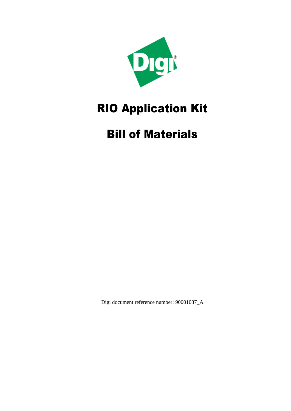

## RIO Application Kit

## Bill of Materials

Digi document reference number: 90001037\_A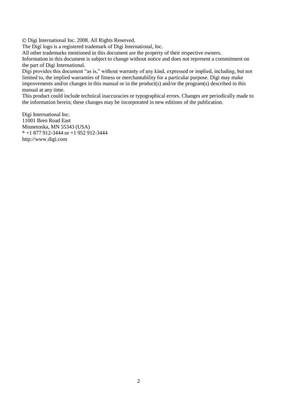Digi International Inc. 2008. All Rights Reserved.

The Digi logo is a registered trademark of Digi International, Inc.

All other trademarks mentioned in this document are the property of their respective owners.

Information in this document is subject to change without notice and does not represent a commitment on the part of Digi International.

Digi provides this document "as is," without warranty of any kind, expressed or implied, including, but not limited to, the implied warranties of fitness or merchantability for a particular purpose. Digi may make improvements and/or changes in this manual or in the product(s) and/or the program(s) described in this manual at any time.

This product could include technical inaccuracies or typographical errors. Changes are periodically made to the information herein; these changes may be incorporated in new editions of the publication.

Digi International Inc. 11001 Bren Road East Minnetonka, MN 55343 (USA) \* +1 877 912-3444 or +1 952 912-3444 http://www.digi.com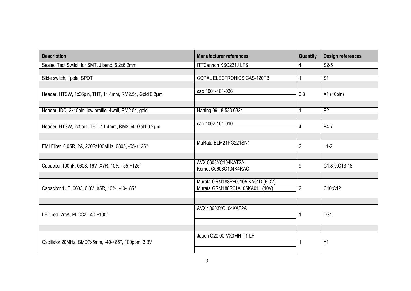| <b>Description</b>                                     | <b>Manufacturer references</b>                                       | Quantity       | <b>Design references</b> |
|--------------------------------------------------------|----------------------------------------------------------------------|----------------|--------------------------|
| Sealed Tact Switch for SMT, J bend, 6.2x6.2mm          | <b>ITTCannon KSC221J LFS</b>                                         | 4              | $S2-5$                   |
|                                                        |                                                                      |                |                          |
| Slide switch, 1pole, SPDT                              | COPAL ELECTRONICS CAS-120TB                                          |                | S <sub>1</sub>           |
|                                                        |                                                                      |                |                          |
| Header, HTSW, 1x36pin, THT, 11.4mm, RM2.54, Gold 0.2µm | cab 1001-161-036                                                     | 0.3            | X1 (10pin)               |
|                                                        |                                                                      |                |                          |
| Header, IDC, 2x10pin, low profile, 4wall, RM2.54, gold | Harting 09 18 520 6324                                               |                | P <sub>2</sub>           |
|                                                        |                                                                      |                |                          |
| Header, HTSW, 2x5pin, THT, 11.4mm, RM2.54, Gold 0.2µm  | cab 1002-161-010                                                     | 4              | P4-7                     |
|                                                        |                                                                      |                |                          |
| EMI Filter 0.05R, 2A, 220R/100MHz, 0805, -55-+125°     | MuRata BLM21PG221SN1                                                 | $\overline{2}$ | $L1-2$                   |
|                                                        |                                                                      |                |                          |
| Capacitor 100nF, 0603, 16V, X7R, 10%, -55-+125°        | AVX 0603YC104KAT2A<br>Kemet C0603C104K4RAC                           | 9              | C1;8-9;C13-18            |
|                                                        |                                                                      |                |                          |
| Capacitor 1µF, 0603, 6.3V, X5R, 10%, -40-+85°          | Murata GRM188R60J105 KA01D (6.3V)<br>Murata GRM188R61A105KA01L (10V) | $\overline{2}$ | C10;C12                  |
|                                                        |                                                                      |                |                          |
| LED red, 2mA, PLCC2, -40-+100°                         | AVX: 0603YC104KAT2A                                                  |                | DS <sub>1</sub>          |
|                                                        |                                                                      |                |                          |
|                                                        |                                                                      |                |                          |
| Oscillator 20MHz, SMD7x5mm, -40-+85°, 100ppm, 3.3V     | Jauch O20.00-VX3MH-T1-LF                                             |                | Y1                       |
|                                                        |                                                                      |                |                          |